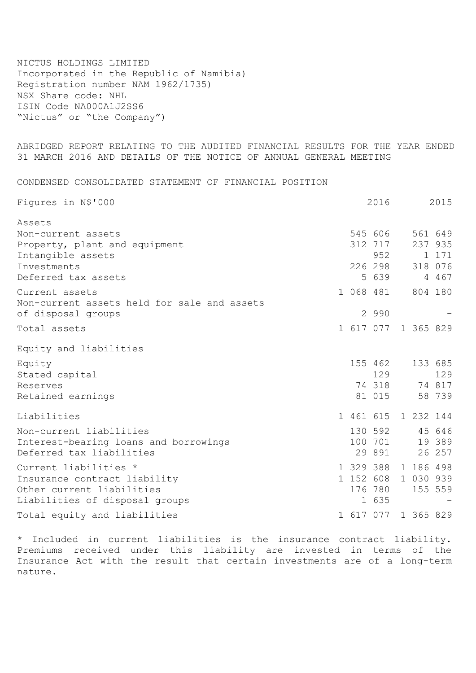NICTUS HOLDINGS LIMITED Incorporated in the Republic of Namibia) Registration number NAM 1962/1735) NSX Share code: NHL ISIN Code NA000A1J2SS6 "Nictus" or "the Company")

ABRIDGED REPORT RELATING TO THE AUDITED FINANCIAL RESULTS FOR THE YEAR ENDED 31 MARCH 2016 AND DETAILS OF THE NOTICE OF ANNUAL GENERAL MEETING

CONDENSED CONSOLIDATED STATEMENT OF FINANCIAL POSITION

| Figures in N\$'000                          |  | 2016                |           | 2015    |
|---------------------------------------------|--|---------------------|-----------|---------|
| Assets                                      |  |                     |           |         |
| Non-current assets                          |  | 545 606             |           | 561 649 |
| Property, plant and equipment               |  | 312 717             |           | 237 935 |
| Intangible assets                           |  | 952                 |           | 1 171   |
| Investments                                 |  | 226 298             |           | 318 076 |
| Deferred tax assets                         |  | 5 639               |           | 4 467   |
| Current assets                              |  | 1 068 481           |           | 804 180 |
| Non-current assets held for sale and assets |  |                     |           |         |
| of disposal groups                          |  | 2 9 9 0             |           |         |
| Total assets                                |  | 1 617 077 1 365 829 |           |         |
| Equity and liabilities                      |  |                     |           |         |
| Equity                                      |  | 155 462             |           | 133 685 |
| Stated capital                              |  | 129                 |           | 129     |
| Reserves                                    |  | 74 318              |           | 74 817  |
| Retained earnings                           |  | 81 015              |           | 58 739  |
| Liabilities                                 |  | 1 461 615           | 1 232 144 |         |
| Non-current liabilities                     |  | 130 592             |           | 45 646  |
| Interest-bearing loans and borrowings       |  | 100 701             |           | 19 389  |
| Deferred tax liabilities                    |  | 29 891              |           | 26 257  |
| Current liabilities *                       |  | 1 329 388           | 1 186 498 |         |
| Insurance contract liability                |  | 1 152 608 1 030 939 |           |         |
| Other current liabilities                   |  | 176 780             |           | 155 559 |
| Liabilities of disposal groups              |  | 1 635               |           |         |
| Total equity and liabilities                |  | 1 617 077 1 365 829 |           |         |

\* Included in current liabilities is the insurance contract liability. Premiums received under this liability are invested in terms of the Insurance Act with the result that certain investments are of a long-term nature.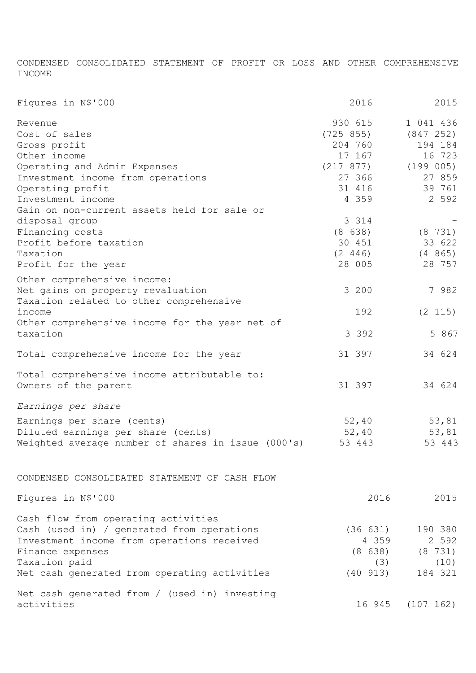CONDENSED CONSOLIDATED STATEMENT OF PROFIT OR LOSS AND OTHER COMPREHENSIVE INCOME

| Figures in N\$'000                                 | 2016                    | 2015             |
|----------------------------------------------------|-------------------------|------------------|
| Revenue                                            | 930 615                 | 1 041 436        |
| Cost of sales                                      | (725 855)               | (847 252)        |
| Gross profit                                       | 204 760                 | 194 184          |
| Other income                                       | 17 167                  | 16 723           |
|                                                    |                         |                  |
| Operating and Admin Expenses                       | $(217 877)$ $(199 005)$ |                  |
| Investment income from operations                  | 27 366                  | 27 859           |
| Operating profit                                   | 31 416                  | 39 761           |
| Investment income                                  | 4 3 5 9                 | 2 5 9 2          |
| Gain on non-current assets held for sale or        |                         |                  |
| disposal group                                     | 3 3 1 4                 |                  |
| Financing costs                                    | (8638)                  | (8 731)          |
|                                                    |                         |                  |
| Profit before taxation                             | 30 451                  | 33 622           |
| Taxation                                           | (2 446)                 | (4865)           |
| Profit for the year                                | 28 005                  | 28 757           |
| Other comprehensive income:                        |                         |                  |
|                                                    | 3 200                   | 7 982            |
| Net gains on property revaluation                  |                         |                  |
| Taxation related to other comprehensive            |                         |                  |
| income                                             | 192                     | (2 115)          |
| Other comprehensive income for the year net of     |                         |                  |
| taxation                                           | 3 3 9 2                 | 5 867            |
|                                                    |                         |                  |
| Total comprehensive income for the year            | 31 397                  | 34 624           |
|                                                    |                         |                  |
| Total comprehensive income attributable to:        |                         |                  |
| Owners of the parent                               | 31 397                  | 34 624           |
| Earnings per share                                 |                         |                  |
| Earnings per share (cents)                         | 52,40                   | 53,81            |
|                                                    |                         |                  |
| Diluted earnings per share (cents)                 | 52,40                   | 53,81            |
| Weighted average number of shares in issue (000's) | 53 443                  | 53 443           |
|                                                    |                         |                  |
| CONDENSED CONSOLIDATED STATEMENT OF CASH FLOW      |                         |                  |
| Figures in N\$'000                                 | 2016                    | 2015             |
| Cash flow from operating activities                |                         |                  |
| Cash (used in) / generated from operations         | (36 631)                | 190 380          |
| Investment income from operations received         | 4 3 5 9                 | 2 5 9 2          |
| Finance expenses                                   | (8638)                  | (8 731)          |
|                                                    |                         |                  |
| Taxation paid                                      | (3)                     | (10)             |
| Net cash generated from operating activities       | (40 913)                | 184 321          |
| Net cash generated from / (used in) investing      |                         |                  |
| activities                                         |                         | 16 945 (107 162) |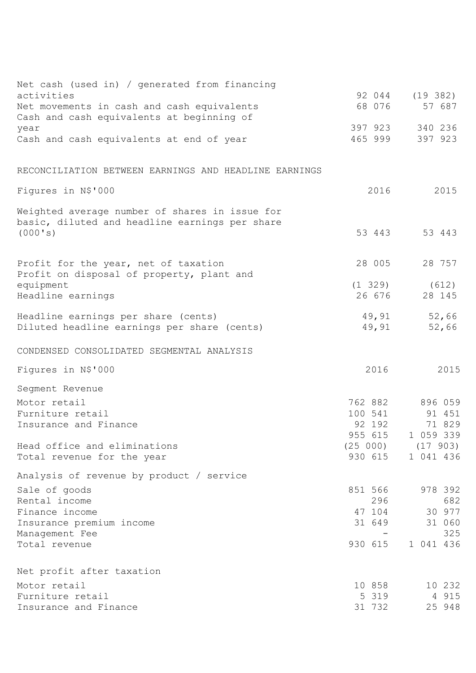| Net cash (used in) / generated from financing                                           |                    |                      |
|-----------------------------------------------------------------------------------------|--------------------|----------------------|
| activities                                                                              | 92 044<br>68 076   | (19 382)<br>57 687   |
| Net movements in cash and cash equivalents<br>Cash and cash equivalents at beginning of |                    |                      |
| year                                                                                    | 397 923            | 340 236              |
| Cash and cash equivalents at end of year                                                | 465 999            | 397 923              |
|                                                                                         |                    |                      |
| RECONCILIATION BETWEEN EARNINGS AND HEADLINE EARNINGS                                   |                    |                      |
| Figures in N\$'000                                                                      | 2016               | 2015                 |
| Weighted average number of shares in issue for                                          |                    |                      |
| basic, diluted and headline earnings per share                                          |                    |                      |
| (000's)                                                                                 | 53 443             | 53 443               |
|                                                                                         |                    | 28 757               |
| Profit for the year, net of taxation<br>Profit on disposal of property, plant and       | 28 005             |                      |
| equipment                                                                               | (1 329)            | (612)                |
| Headline earnings                                                                       | 26 676             | 28 145               |
| Headline earnings per share (cents)                                                     | 49,91              | 52,66                |
| Diluted headline earnings per share (cents)                                             | 49,91              | 52,66                |
| CONDENSED CONSOLIDATED SEGMENTAL ANALYSIS                                               |                    |                      |
| Figures in N\$'000                                                                      | 2016               | 2015                 |
| Segment Revenue                                                                         |                    |                      |
| Motor retail                                                                            | 762 882            | 896 059              |
| Furniture retail                                                                        | 100 541            | 91 451               |
| Insurance and Finance                                                                   | 92 192             | 71 829               |
|                                                                                         | 955 615            | 1 059 339            |
| Head office and eliminations<br>Total revenue for the year                              | (25000)<br>930 615 | (17903)<br>1 041 436 |
|                                                                                         |                    |                      |
| Analysis of revenue by product / service                                                |                    |                      |
| Sale of goods                                                                           | 851 566            | 978 392              |
| Rental income                                                                           | 296                | 682                  |
| Finance income                                                                          | 47 104<br>31 649   | 30 977               |
| Insurance premium income<br>Management Fee                                              |                    | 31 060<br>325        |
| Total revenue                                                                           | 930 615            | 1 041 436            |
|                                                                                         |                    |                      |
| Net profit after taxation                                                               |                    |                      |
| Motor retail                                                                            | 10 858             | 10 232               |
| Furniture retail                                                                        | 5 319              | 4 915                |
| Insurance and Finance                                                                   | 31 732             | 25 948               |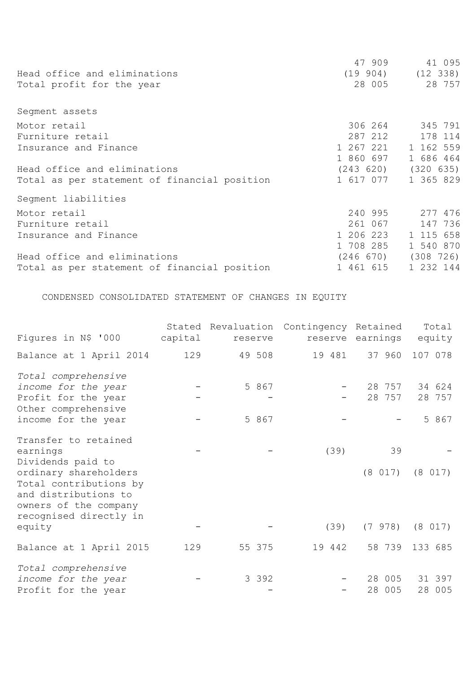|                                              | 47 909    | 41 095                  |
|----------------------------------------------|-----------|-------------------------|
| Head office and eliminations                 |           | $(19904)$ $(12338)$     |
| Total profit for the year                    |           | 28 005 28 757           |
| Segment assets                               |           |                         |
| Motor retail                                 | 306 264   | 345 791                 |
| Furniture retail                             | 287 212   | 178 114                 |
| Insurance and Finance                        |           | 1 267 221 1 162 559     |
|                                              | 1 860 697 | 1 686 464               |
| Head office and eliminations                 |           | $(243 620)$ $(320 635)$ |
| Total as per statement of financial position | 1 617 077 | 1 365 829               |
| Segment liabilities                          |           |                         |
| Motor retail                                 | 240 995   | 277 476                 |
| Furniture retail                             | 261 067   | 147 736                 |
| Insurance and Finance                        | 1 206 223 | 1 115 658               |
|                                              | 1 708 285 | 1 540 870               |
| Head office and eliminations                 | (246 670) | (308 726)               |
| Total as per statement of financial position | 1 461 615 | 1 232 144               |

CONDENSED CONSOLIDATED STATEMENT OF CHANGES IN EQUITY

| Figures in N\$ '000                                                                                                                                       | capital | reserve        | Stated Revaluation Contingency Retained | reserve earnings | Total<br>equity           |
|-----------------------------------------------------------------------------------------------------------------------------------------------------------|---------|----------------|-----------------------------------------|------------------|---------------------------|
| Balance at 1 April 2014                                                                                                                                   | 129     | 49 508         | 19 481                                  | 37 960           | 107 078                   |
| Total comprehensive<br>income for the year<br>Profit for the year<br>Other comprehensive<br>income for the year                                           |         | 5 867<br>5 867 |                                         | 28 757<br>28 757 | 34 624<br>28 757<br>5 867 |
| Transfer to retained<br>earnings<br>Dividends paid to<br>ordinary shareholders<br>Total contributions by<br>and distributions to<br>owners of the company |         |                | (39)                                    | 39<br>(8 017)    | (8 017)                   |
| recognised directly in<br>equity                                                                                                                          |         |                | (39)                                    | (7978)           | (8 017)                   |
| Balance at 1 April 2015                                                                                                                                   | 129     | 55 375         | 19 442                                  | 58 739           | 133 685                   |
| Total comprehensive<br>income for the year<br>Profit for the year                                                                                         |         | 3 3 9 2        |                                         | 28 005<br>28 005 | 31 397<br>28 005          |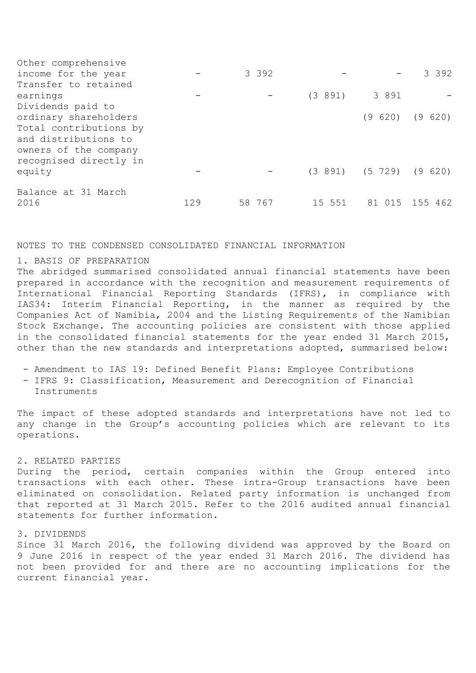| Other comprehensive                                                                               |     |         |         |                            |                |
|---------------------------------------------------------------------------------------------------|-----|---------|---------|----------------------------|----------------|
| income for the year                                                                               |     | 3 3 9 2 |         |                            | 3 3 9 2        |
| Transfer to retained                                                                              |     |         |         |                            |                |
| earnings                                                                                          |     |         | (3 891) | 3 8 9 1                    |                |
| Dividends paid to                                                                                 |     |         |         |                            |                |
| ordinary shareholders                                                                             |     |         |         | (9620)                     | (9620)         |
| Total contributions by<br>and distributions to<br>owners of the company<br>recognised directly in |     |         |         |                            |                |
| equity                                                                                            |     |         |         | $(3891)$ $(5729)$ $(9620)$ |                |
| Balance at 31 March<br>2016                                                                       | 129 | 58 767  | 15 551  |                            | 81 015 155 462 |
|                                                                                                   |     |         |         |                            |                |

#### NOTES TO THE CONDENSED CONSOLIDATED FINANCIAL INFORMATION

# 1. BASIS OF PREPARATION

The abridged summarised consolidated annual financial statements have been prepared in accordance with the recognition and measurement requirements of International Financial Reporting Standards (IFRS), in compliance with IAS34: Interim Financial Reporting, in the manner as required by the Companies Act of Namibia, 2004 and the Listing Requirements of the Namibian Stock Exchange. The accounting policies are consistent with those applied in the consolidated financial statements for the year ended 31 March 2015, other than the new standards and interpretations adopted, summarised below:

- Amendment to IAS 19: Defined Benefit Plans: Employee Contributions
- IFRS 9: Classification, Measurement and Derecognition of Financial
- Instruments

The impact of these adopted standards and interpretations have not led to any change in the Group's accounting policies which are relevant to its operations.

# 2. RELATED PARTIES

During the period, certain companies within the Group entered into transactions with each other. These intra-Group transactions have been eliminated on consolidation. Related party information is unchanged from that reported at 31 March 2015. Refer to the 2016 audited annual financial statements for further information.

## 3. DIVIDENDS

Since 31 March 2016, the following dividend was approved by the Board on 9 June 2016 in respect of the year ended 31 March 2016. The dividend has not been provided for and there are no accounting implications for the current financial year.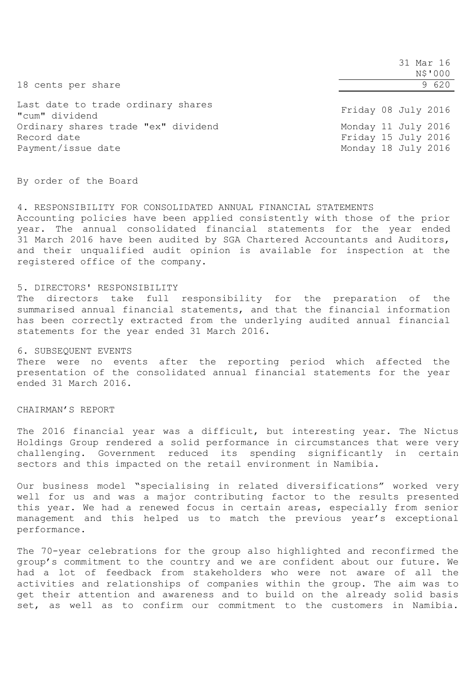|                                                                          | 31 Mar 16<br>N\$'000                                              |
|--------------------------------------------------------------------------|-------------------------------------------------------------------|
| 18 cents per share                                                       | 9 620                                                             |
| Last date to trade ordinary shares<br>"cum" dividend                     | Friday 08 July 2016                                               |
| Ordinary shares trade "ex" dividend<br>Record date<br>Payment/issue date | Monday 11 July 2016<br>Friday 15 July 2016<br>Monday 18 July 2016 |

By order of the Board

4. RESPONSIBILITY FOR CONSOLIDATED ANNUAL FINANCIAL STATEMENTS Accounting policies have been applied consistently with those of the prior year. The annual consolidated financial statements for the year ended 31 March 2016 have been audited by SGA Chartered Accountants and Auditors, and their unqualified audit opinion is available for inspection at the registered office of the company.

### 5. DIRECTORS' RESPONSIBILITY

The directors take full responsibility for the preparation of the summarised annual financial statements, and that the financial information has been correctly extracted from the underlying audited annual financial statements for the year ended 31 March 2016.

### 6. SUBSEQUENT EVENTS

There were no events after the reporting period which affected the presentation of the consolidated annual financial statements for the year ended 31 March 2016.

# CHAIRMAN'S REPORT

The 2016 financial year was a difficult, but interesting year. The Nictus Holdings Group rendered a solid performance in circumstances that were very challenging. Government reduced its spending significantly in certain sectors and this impacted on the retail environment in Namibia.

Our business model "specialising in related diversifications" worked very well for us and was a major contributing factor to the results presented this year. We had a renewed focus in certain areas, especially from senior management and this helped us to match the previous year's exceptional performance.

The 70-year celebrations for the group also highlighted and reconfirmed the group's commitment to the country and we are confident about our future. We had a lot of feedback from stakeholders who were not aware of all the activities and relationships of companies within the group. The aim was to get their attention and awareness and to build on the already solid basis set, as well as to confirm our commitment to the customers in Namibia.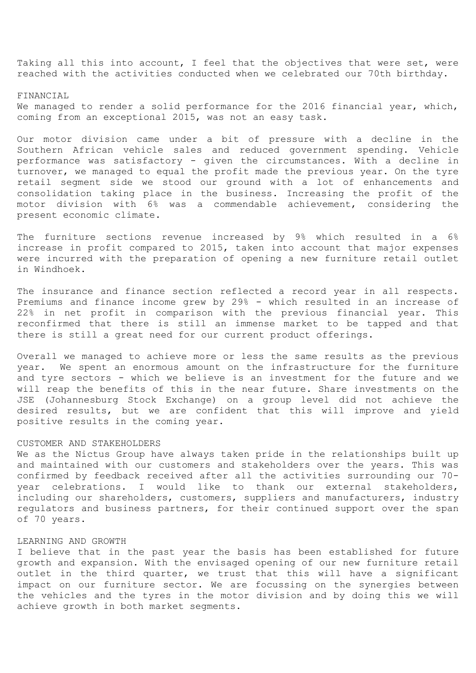Taking all this into account, I feel that the objectives that were set, were reached with the activities conducted when we celebrated our 70th birthday.

### FINANCIAL

We managed to render a solid performance for the 2016 financial year, which, coming from an exceptional 2015, was not an easy task.

Our motor division came under a bit of pressure with a decline in the Southern African vehicle sales and reduced government spending. Vehicle performance was satisfactory - given the circumstances. With a decline in turnover, we managed to equal the profit made the previous year. On the tyre retail segment side we stood our ground with a lot of enhancements and consolidation taking place in the business. Increasing the profit of the motor division with 6% was a commendable achievement, considering the present economic climate.

The furniture sections revenue increased by 9% which resulted in a 6% increase in profit compared to 2015, taken into account that major expenses were incurred with the preparation of opening a new furniture retail outlet in Windhoek.

The insurance and finance section reflected a record year in all respects. Premiums and finance income grew by 29% - which resulted in an increase of 22% in net profit in comparison with the previous financial year. This reconfirmed that there is still an immense market to be tapped and that there is still a great need for our current product offerings.

Overall we managed to achieve more or less the same results as the previous year. We spent an enormous amount on the infrastructure for the furniture and tyre sectors - which we believe is an investment for the future and we will reap the benefits of this in the near future. Share investments on the JSE (Johannesburg Stock Exchange) on a group level did not achieve the desired results, but we are confident that this will improve and yield positive results in the coming year.

## CUSTOMER AND STAKEHOLDERS

We as the Nictus Group have always taken pride in the relationships built up and maintained with our customers and stakeholders over the years. This was confirmed by feedback received after all the activities surrounding our 70 year celebrations. I would like to thank our external stakeholders, including our shareholders, customers, suppliers and manufacturers, industry regulators and business partners, for their continued support over the span of 70 years.

#### LEARNING AND GROWTH

I believe that in the past year the basis has been established for future growth and expansion. With the envisaged opening of our new furniture retail outlet in the third quarter, we trust that this will have a significant impact on our furniture sector. We are focussing on the synergies between the vehicles and the tyres in the motor division and by doing this we will achieve growth in both market segments.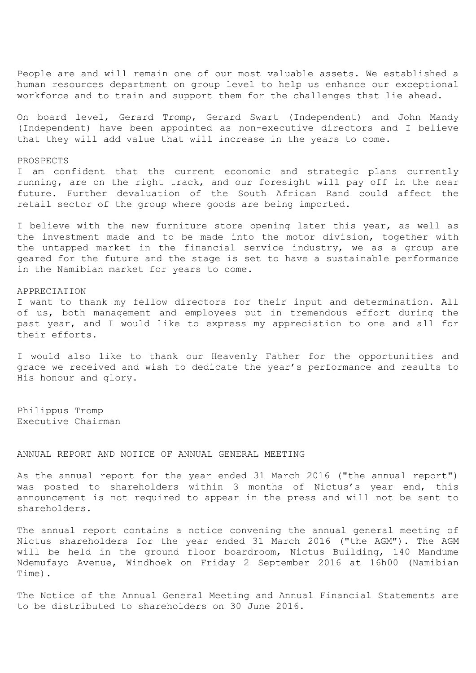People are and will remain one of our most valuable assets. We established a human resources department on group level to help us enhance our exceptional workforce and to train and support them for the challenges that lie ahead.

On board level, Gerard Tromp, Gerard Swart (Independent) and John Mandy (Independent) have been appointed as non-executive directors and I believe that they will add value that will increase in the years to come.

#### PROSPECTS

I am confident that the current economic and strategic plans currently running, are on the right track, and our foresight will pay off in the near future. Further devaluation of the South African Rand could affect the retail sector of the group where goods are being imported.

I believe with the new furniture store opening later this year, as well as the investment made and to be made into the motor division, together with the untapped market in the financial service industry, we as a group are geared for the future and the stage is set to have a sustainable performance in the Namibian market for years to come.

#### APPRECIATION

I want to thank my fellow directors for their input and determination. All of us, both management and employees put in tremendous effort during the past year, and I would like to express my appreciation to one and all for their efforts.

I would also like to thank our Heavenly Father for the opportunities and grace we received and wish to dedicate the year's performance and results to His honour and glory.

Philippus Tromp Executive Chairman

### ANNUAL REPORT AND NOTICE OF ANNUAL GENERAL MEETING

As the annual report for the year ended 31 March 2016 ("the annual report") was posted to shareholders within 3 months of Nictus's year end, this announcement is not required to appear in the press and will not be sent to shareholders.

The annual report contains a notice convening the annual general meeting of Nictus shareholders for the year ended 31 March 2016 ("the AGM"). The AGM will be held in the ground floor boardroom, Nictus Building, 140 Mandume Ndemufayo Avenue, Windhoek on Friday 2 September 2016 at 16h00 (Namibian Time).

The Notice of the Annual General Meeting and Annual Financial Statements are to be distributed to shareholders on 30 June 2016.